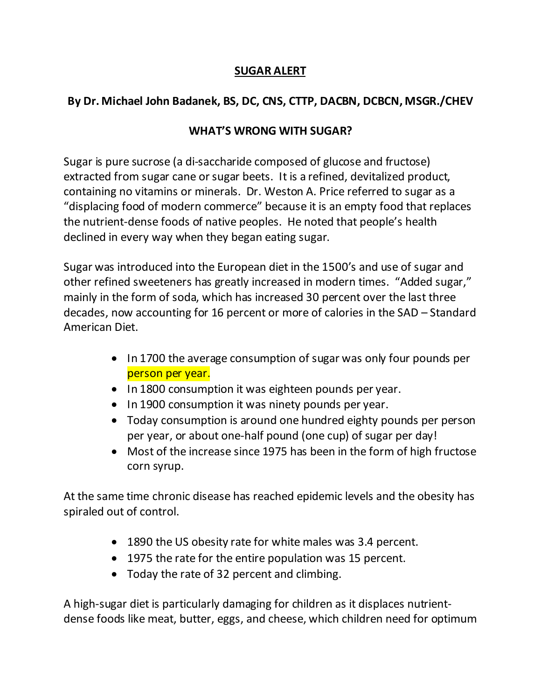## **SUGAR ALERT**

## **By Dr. Michael John Badanek, BS, DC, CNS, CTTP, DACBN, DCBCN, MSGR./CHEV**

## **WHAT'S WRONG WITH SUGAR?**

Sugar is pure sucrose (a di-saccharide composed of glucose and fructose) extracted from sugar cane or sugar beets. It is a refined, devitalized product, containing no vitamins or minerals. Dr. Weston A. Price referred to sugar as a "displacing food of modern commerce" because it is an empty food that replaces the nutrient-dense foods of native peoples. He noted that people's health declined in every way when they began eating sugar.

Sugar was introduced into the European diet in the 1500's and use of sugar and other refined sweeteners has greatly increased in modern times. "Added sugar," mainly in the form of soda, which has increased 30 percent over the last three decades, now accounting for 16 percent or more of calories in the SAD – Standard American Diet.

- In 1700 the average consumption of sugar was only four pounds per person per year.
- In 1800 consumption it was eighteen pounds per year.
- In 1900 consumption it was ninety pounds per year.
- Today consumption is around one hundred eighty pounds per person per year, or about one-half pound (one cup) of sugar per day!
- Most of the increase since 1975 has been in the form of high fructose corn syrup.

At the same time chronic disease has reached epidemic levels and the obesity has spiraled out of control.

- 1890 the US obesity rate for white males was 3.4 percent.
- 1975 the rate for the entire population was 15 percent.
- Today the rate of 32 percent and climbing.

A high-sugar diet is particularly damaging for children as it displaces nutrientdense foods like meat, butter, eggs, and cheese, which children need for optimum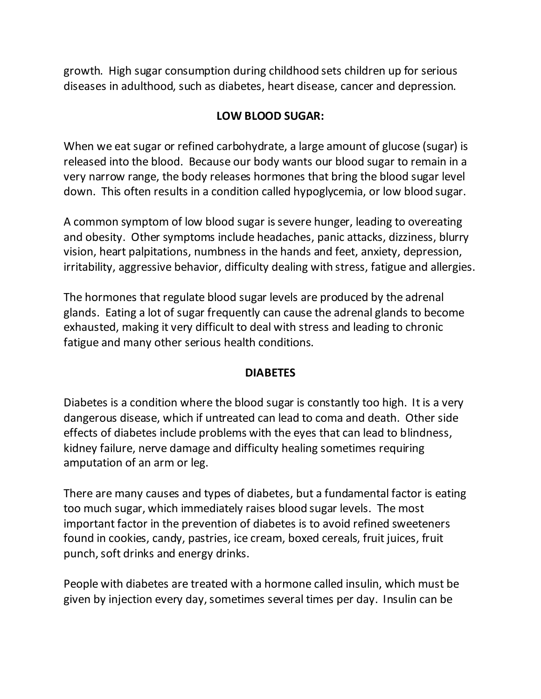growth. High sugar consumption during childhood sets children up for serious diseases in adulthood, such as diabetes, heart disease, cancer and depression.

### **LOW BLOOD SUGAR:**

When we eat sugar or refined carbohydrate, a large amount of glucose (sugar) is released into the blood. Because our body wants our blood sugar to remain in a very narrow range, the body releases hormones that bring the blood sugar level down. This often results in a condition called hypoglycemia, or low blood sugar.

A common symptom of low blood sugar is severe hunger, leading to overeating and obesity. Other symptoms include headaches, panic attacks, dizziness, blurry vision, heart palpitations, numbness in the hands and feet, anxiety, depression, irritability, aggressive behavior, difficulty dealing with stress, fatigue and allergies.

The hormones that regulate blood sugar levels are produced by the adrenal glands. Eating a lot of sugar frequently can cause the adrenal glands to become exhausted, making it very difficult to deal with stress and leading to chronic fatigue and many other serious health conditions.

#### **DIABETES**

Diabetes is a condition where the blood sugar is constantly too high. It is a very dangerous disease, which if untreated can lead to coma and death. Other side effects of diabetes include problems with the eyes that can lead to blindness, kidney failure, nerve damage and difficulty healing sometimes requiring amputation of an arm or leg.

There are many causes and types of diabetes, but a fundamental factor is eating too much sugar, which immediately raises blood sugar levels. The most important factor in the prevention of diabetes is to avoid refined sweeteners found in cookies, candy, pastries, ice cream, boxed cereals, fruit juices, fruit punch, soft drinks and energy drinks.

People with diabetes are treated with a hormone called insulin, which must be given by injection every day, sometimes several times per day. Insulin can be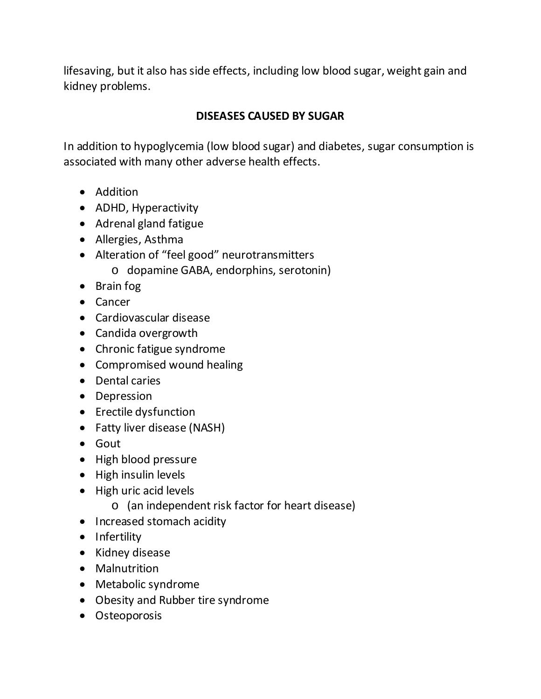lifesaving, but it also has side effects, including low blood sugar, weight gain and kidney problems.

## **DISEASES CAUSED BY SUGAR**

In addition to hypoglycemia (low blood sugar) and diabetes, sugar consumption is associated with many other adverse health effects.

- Addition
- ADHD, Hyperactivity
- Adrenal gland fatigue
- Allergies, Asthma
- Alteration of "feel good" neurotransmitters
	- o dopamine GABA, endorphins, serotonin)
- Brain fog
- Cancer
- Cardiovascular disease
- Candida overgrowth
- Chronic fatigue syndrome
- Compromised wound healing
- Dental caries
- Depression
- Erectile dysfunction
- Fatty liver disease (NASH)
- Gout
- High blood pressure
- High insulin levels
- High uric acid levels
	- o (an independent risk factor for heart disease)
- Increased stomach acidity
- Infertility
- Kidney disease
- Malnutrition
- Metabolic syndrome
- Obesity and Rubber tire syndrome
- Osteoporosis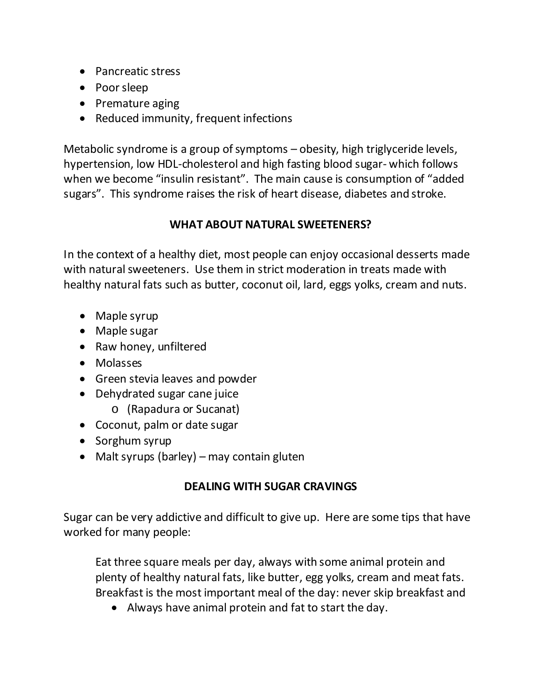- Pancreatic stress
- Poor sleep
- Premature aging
- Reduced immunity, frequent infections

Metabolic syndrome is a group of symptoms – obesity, high triglyceride levels, hypertension, low HDL-cholesterol and high fasting blood sugar- which follows when we become "insulin resistant". The main cause is consumption of "added sugars". This syndrome raises the risk of heart disease, diabetes and stroke.

## **WHAT ABOUT NATURAL SWEETENERS?**

In the context of a healthy diet, most people can enjoy occasional desserts made with natural sweeteners. Use them in strict moderation in treats made with healthy natural fats such as butter, coconut oil, lard, eggs yolks, cream and nuts.

- Maple syrup
- Maple sugar
- Raw honey, unfiltered
- Molasses
- Green stevia leaves and powder
- Dehydrated sugar cane juice
	- o (Rapadura or Sucanat)
- Coconut, palm or date sugar
- Sorghum syrup
- Malt syrups (barley) may contain gluten

# **DEALING WITH SUGAR CRAVINGS**

Sugar can be very addictive and difficult to give up. Here are some tips that have worked for many people:

Eat three square meals per day, always with some animal protein and plenty of healthy natural fats, like butter, egg yolks, cream and meat fats. Breakfast is the most important meal of the day: never skip breakfast and

• Always have animal protein and fat to start the day.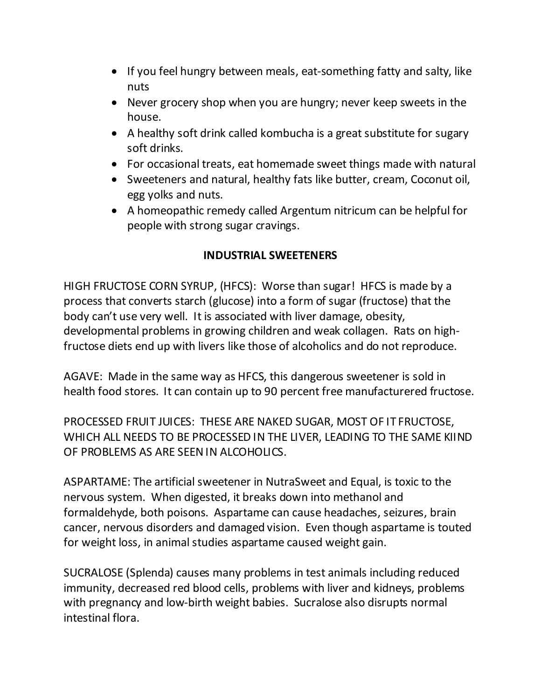- If you feel hungry between meals, eat-something fatty and salty, like nuts
- Never grocery shop when you are hungry; never keep sweets in the house.
- A healthy soft drink called kombucha is a great substitute for sugary soft drinks.
- For occasional treats, eat homemade sweet things made with natural
- Sweeteners and natural, healthy fats like butter, cream, Coconut oil, egg yolks and nuts.
- A homeopathic remedy called Argentum nitricum can be helpful for people with strong sugar cravings.

#### **INDUSTRIAL SWEETENERS**

HIGH FRUCTOSE CORN SYRUP, (HFCS): Worse than sugar! HFCS is made by a process that converts starch (glucose) into a form of sugar (fructose) that the body can't use very well. It is associated with liver damage, obesity, developmental problems in growing children and weak collagen. Rats on highfructose diets end up with livers like those of alcoholics and do not reproduce.

AGAVE: Made in the same way as HFCS, this dangerous sweetener is sold in health food stores. It can contain up to 90 percent free manufacturered fructose.

PROCESSED FRUIT JUICES: THESE ARE NAKED SUGAR, MOST OF IT FRUCTOSE, WHICH ALL NEEDS TO BE PROCESSED IN THE LIVER, LEADING TO THE SAME KIIND OF PROBLEMS AS ARE SEEN IN ALCOHOLICS.

ASPARTAME: The artificial sweetener in NutraSweet and Equal, is toxic to the nervous system. When digested, it breaks down into methanol and formaldehyde, both poisons. Aspartame can cause headaches, seizures, brain cancer, nervous disorders and damaged vision. Even though aspartame is touted for weight loss, in animal studies aspartame caused weight gain.

SUCRALOSE (Splenda) causes many problems in test animals including reduced immunity, decreased red blood cells, problems with liver and kidneys, problems with pregnancy and low-birth weight babies. Sucralose also disrupts normal intestinal flora.